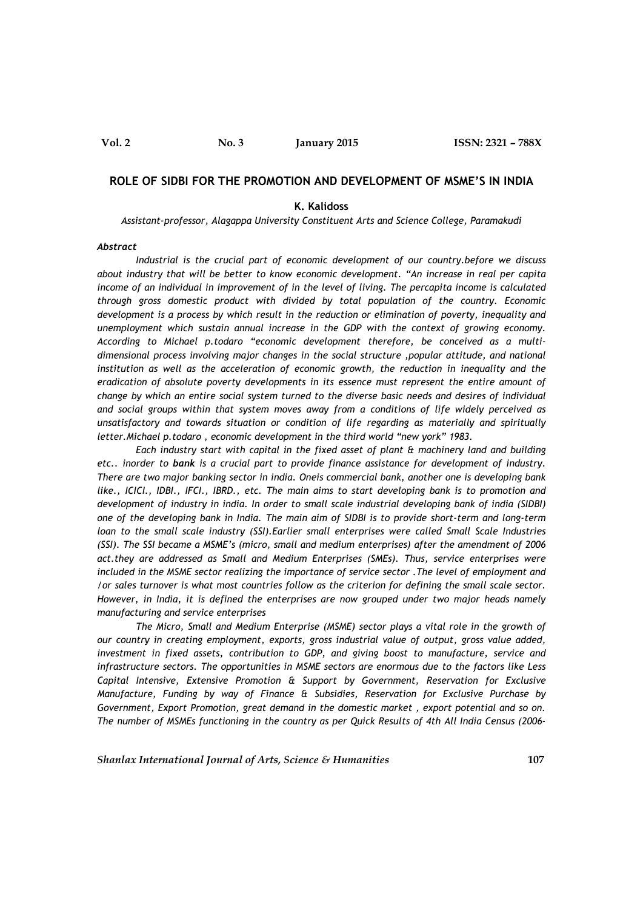### **ROLE OF SIDBI FOR THE PROMOTION AND DEVELOPMENT OF MSME'S IN INDIA**

#### **K. Kalidoss**

*Assistant-professor, Alagappa University Constituent Arts and Science College, Paramakudi*

#### *Abstract*

*Industrial is the crucial part of economic development of our country.before we discuss about industry that will be better to know economic development. "An increase in real per capita income of an individual in improvement of in the level of living. The percapita income is calculated through gross domestic product with divided by total population of the country. Economic development is a process by which result in the reduction or elimination of poverty, inequality and unemployment which sustain annual increase in the GDP with the context of growing economy. According to Michael p.todaro "economic development therefore, be conceived as a multidimensional process involving major changes in the social structure ,popular attitude, and national institution as well as the acceleration of economic growth, the reduction in inequality and the eradication of absolute poverty developments in its essence must represent the entire amount of change by which an entire social system turned to the diverse basic needs and desires of individual and social groups within that system moves away from a conditions of life widely perceived as unsatisfactory and towards situation or condition of life regarding as materially and spiritually letter.Michael p.todaro , economic development in the third world "new york" 1983.*

*Each industry start with capital in the fixed asset of plant & machinery land and building etc.. inorder to bank is a crucial part to provide finance assistance for development of industry. There are two major banking sector in india. Oneis commercial bank, another one is developing bank like., ICICI., IDBI., IFCI., IBRD., etc. The main aims to start developing bank is to promotion and development of industry in india. In order to small scale industrial developing bank of india (SIDBI) one of the developing bank in India. The main aim of SIDBI is to provide short-term and long-term loan to the small scale industry (SSI).Earlier small enterprises were called Small Scale Industries (SSI). The SSI became a MSME's (micro, small and medium enterprises) after the amendment of 2006 act.they are addressed as Small and Medium Enterprises (SMEs). Thus, service enterprises were included in the MSME sector realizing the importance of service sector .The level of employment and /or sales turnover is what most countries follow as the criterion for defining the small scale sector. However, in India, it is defined the enterprises are now grouped under two major heads namely manufacturing and service enterprises*

*The Micro, Small and Medium Enterprise (MSME) sector plays a vital role in the growth of our country in creating employment, exports, gross industrial value of output, gross value added, investment in fixed assets, contribution to GDP, and giving boost to manufacture, service and infrastructure sectors. The opportunities in MSME sectors are enormous due to the factors like Less Capital Intensive, Extensive Promotion & Support by Government, Reservation for Exclusive Manufacture, Funding by way of Finance & Subsidies, Reservation for Exclusive Purchase by Government, Export Promotion, great demand in the domestic market , export potential and so on. The number of MSMEs functioning in the country as per Quick Results of 4th All India Census (2006-*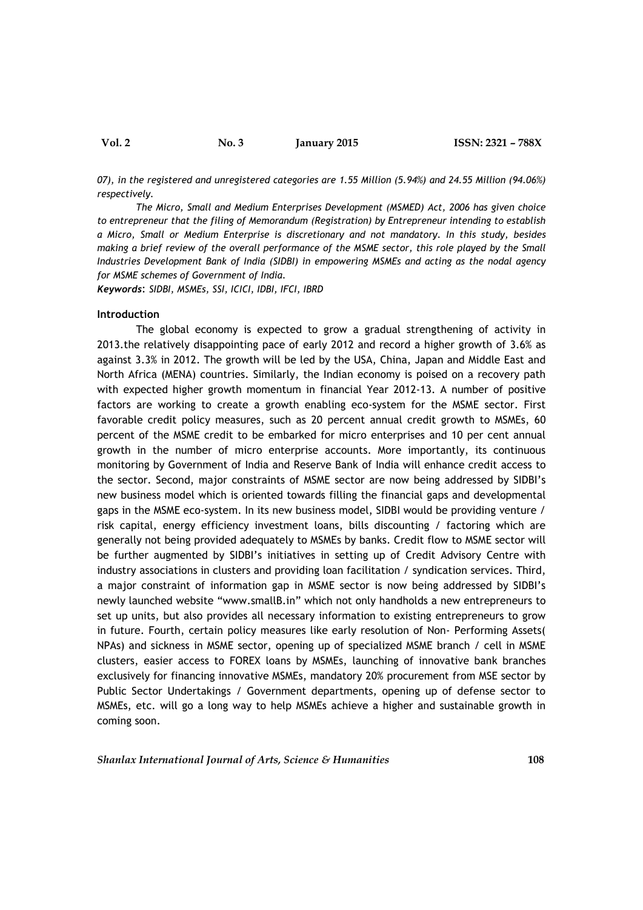07), in the registered and unregistered categories are 1.55 Million (5.94%) and 24.55 Million (94.06%) *respectively.*

*The Micro, Small and Medium Enterprises Development (MSMED) Act, 2006 has given choice to entrepreneur that the filing of Memorandum (Registration) by Entrepreneur intending to establish a Micro, Small or Medium Enterprise is discretionary and not mandatory. In this study, besides making a brief review of the overall performance of the MSME sector, this role played by the Small Industries Development Bank of India (SIDBI) in empowering MSMEs and acting as the nodal agency for MSME schemes of Government of India.*

*Keywords*: *SIDBI, MSMEs, SSI, ICICI, IDBI, IFCI, IBRD*

#### **Introduction**

The global economy is expected to grow a gradual strengthening of activity in 2013.the relatively disappointing pace of early 2012 and record a higher growth of 3.6% as against 3.3% in 2012. The growth will be led by the USA, China, Japan and Middle East and North Africa (MENA) countries. Similarly, the Indian economy is poised on a recovery path with expected higher growth momentum in financial Year 2012-13. A number of positive factors are working to create a growth enabling eco-system for the MSME sector. First favorable credit policy measures, such as 20 percent annual credit growth to MSMEs, 60 percent of the MSME credit to be embarked for micro enterprises and 10 per cent annual growth in the number of micro enterprise accounts. More importantly, its continuous monitoring by Government of India and Reserve Bank of India will enhance credit access to the sector. Second, major constraints of MSME sector are now being addressed by SIDBI's new business model which is oriented towards filling the financial gaps and developmental gaps in the MSME eco-system. In its new business model, SIDBI would be providing venture / risk capital, energy efficiency investment loans, bills discounting / factoring which are generally not being provided adequately to MSMEs by banks. Credit flow to MSME sector will be further augmented by SIDBI's initiatives in setting up of Credit Advisory Centre with industry associations in clusters and providing loan facilitation / syndication services. Third, a major constraint of information gap in MSME sector is now being addressed by SIDBI's newly launched website "www.smallB.in" which not only handholds a new entrepreneurs to set up units, but also provides all necessary information to existing entrepreneurs to grow in future. Fourth, certain policy measures like early resolution of Non- Performing Assets( NPAs) and sickness in MSME sector, opening up of specialized MSME branch / cell in MSME clusters, easier access to FOREX loans by MSMEs, launching of innovative bank branches exclusively for financing innovative MSMEs, mandatory 20% procurement from MSE sector by Public Sector Undertakings / Government departments, opening up of defense sector to MSMEs, etc. will go a long way to help MSMEs achieve a higher and sustainable growth in coming soon.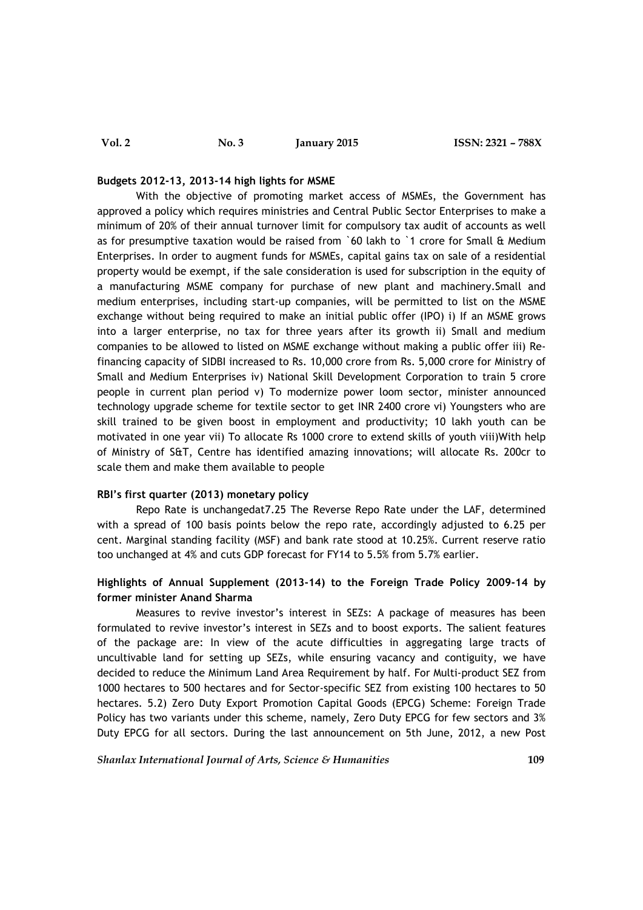#### **Budgets 2012-13, 2013-14 high lights for MSME**

With the objective of promoting market access of MSMEs, the Government has approved a policy which requires ministries and Central Public Sector Enterprises to make a minimum of 20% of their annual turnover limit for compulsory tax audit of accounts as well as for presumptive taxation would be raised from `60 lakh to `1 crore for Small & Medium Enterprises. In order to augment funds for MSMEs, capital gains tax on sale of a residential property would be exempt, if the sale consideration is used for subscription in the equity of a manufacturing MSME company for purchase of new plant and machinery.Small and medium enterprises, including start-up companies, will be permitted to list on the MSME exchange without being required to make an initial public offer (IPO) i) If an MSME grows into a larger enterprise, no tax for three years after its growth ii) Small and medium companies to be allowed to listed on MSME exchange without making a public offer iii) Refinancing capacity of SIDBI increased to Rs. 10,000 crore from Rs. 5,000 crore for Ministry of Small and Medium Enterprises iv) National Skill Development Corporation to train 5 crore people in current plan period v) To modernize power loom sector, minister announced technology upgrade scheme for textile sector to get INR 2400 crore vi) Youngsters who are skill trained to be given boost in employment and productivity; 10 lakh youth can be motivated in one year vii) To allocate Rs 1000 crore to extend skills of youth viii)With help of Ministry of S&T, Centre has identified amazing innovations; will allocate Rs. 200cr to scale them and make them available to people

# **RBI's first quarter (2013) monetary policy**

Repo Rate is unchangedat7.25 The Reverse Repo Rate under the LAF, determined with a spread of 100 basis points below the repo rate, accordingly adjusted to 6.25 per cent. Marginal standing facility (MSF) and bank rate stood at 10.25%. Current reserve ratio too unchanged at 4% and cuts GDP forecast for FY14 to 5.5% from 5.7% earlier.

# **Highlights of Annual Supplement (2013-14) to the Foreign Trade Policy 2009-14 by former minister Anand Sharma**

Measures to revive investor's interest in SEZs: A package of measures has been formulated to revive investor's interest in SEZs and to boost exports. The salient features of the package are: In view of the acute difficulties in aggregating large tracts of uncultivable land for setting up SEZs, while ensuring vacancy and contiguity, we have decided to reduce the Minimum Land Area Requirement by half. For Multi-product SEZ from 1000 hectares to 500 hectares and for Sector-specific SEZ from existing 100 hectares to 50 hectares. 5.2) Zero Duty Export Promotion Capital Goods (EPCG) Scheme: Foreign Trade Policy has two variants under this scheme, namely, Zero Duty EPCG for few sectors and 3% Duty EPCG for all sectors. During the last announcement on 5th June, 2012, a new Post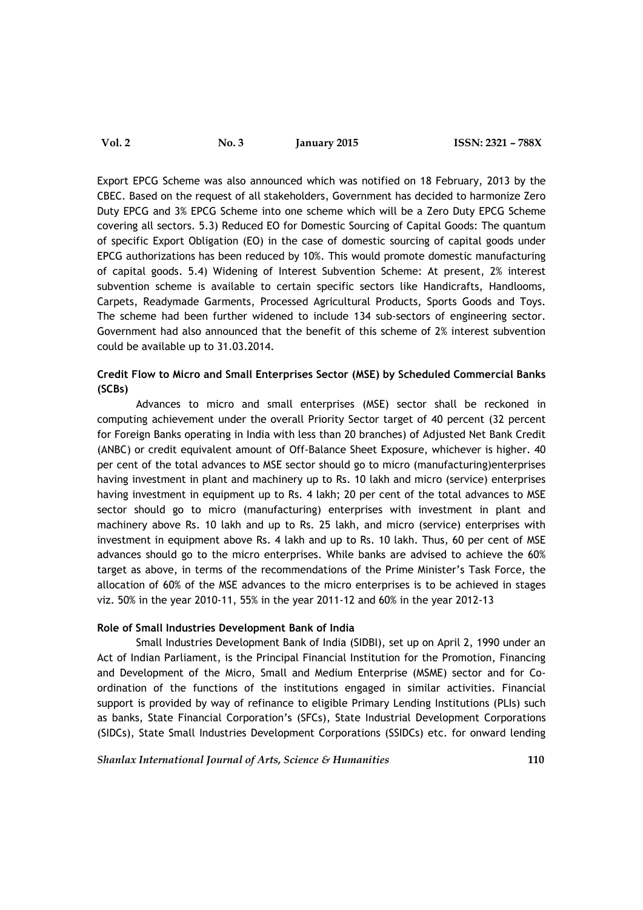# **Vol. 2 No. 3 January 2015 ISSN: 2321 – 788X**

Export EPCG Scheme was also announced which was notified on 18 February, 2013 by the CBEC. Based on the request of all stakeholders, Government has decided to harmonize Zero Duty EPCG and 3% EPCG Scheme into one scheme which will be a Zero Duty EPCG Scheme covering all sectors. 5.3) Reduced EO for Domestic Sourcing of Capital Goods: The quantum of specific Export Obligation (EO) in the case of domestic sourcing of capital goods under EPCG authorizations has been reduced by 10%. This would promote domestic manufacturing of capital goods. 5.4) Widening of Interest Subvention Scheme: At present, 2% interest subvention scheme is available to certain specific sectors like Handicrafts, Handlooms, Carpets, Readymade Garments, Processed Agricultural Products, Sports Goods and Toys. The scheme had been further widened to include 134 sub-sectors of engineering sector. Government had also announced that the benefit of this scheme of 2% interest subvention could be available up to 31.03.2014.

# **Credit Flow to Micro and Small Enterprises Sector (MSE) by Scheduled Commercial Banks (SCBs)**

Advances to micro and small enterprises (MSE) sector shall be reckoned in computing achievement under the overall Priority Sector target of 40 percent (32 percent for Foreign Banks operating in India with less than 20 branches) of Adjusted Net Bank Credit (ANBC) or credit equivalent amount of Off-Balance Sheet Exposure, whichever is higher. 40 per cent of the total advances to MSE sector should go to micro (manufacturing)enterprises having investment in plant and machinery up to Rs. 10 lakh and micro (service) enterprises having investment in equipment up to Rs. 4 lakh; 20 per cent of the total advances to MSE sector should go to micro (manufacturing) enterprises with investment in plant and machinery above Rs. 10 lakh and up to Rs. 25 lakh, and micro (service) enterprises with investment in equipment above Rs. 4 lakh and up to Rs. 10 lakh. Thus, 60 per cent of MSE advances should go to the micro enterprises. While banks are advised to achieve the 60% target as above, in terms of the recommendations of the Prime Minister's Task Force, the allocation of 60% of the MSE advances to the micro enterprises is to be achieved in stages viz. 50% in the year 2010-11, 55% in the year 2011-12 and 60% in the year 2012-13

# **Role of Small Industries Development Bank of India**

Small Industries Development Bank of India (SIDBI), set up on April 2, 1990 under an Act of Indian Parliament, is the Principal Financial Institution for the Promotion, Financing and Development of the Micro, Small and Medium Enterprise (MSME) sector and for Coordination of the functions of the institutions engaged in similar activities. Financial support is provided by way of refinance to eligible Primary Lending Institutions (PLIs) such as banks, State Financial Corporation's (SFCs), State Industrial Development Corporations (SIDCs), State Small Industries Development Corporations (SSIDCs) etc. for onward lending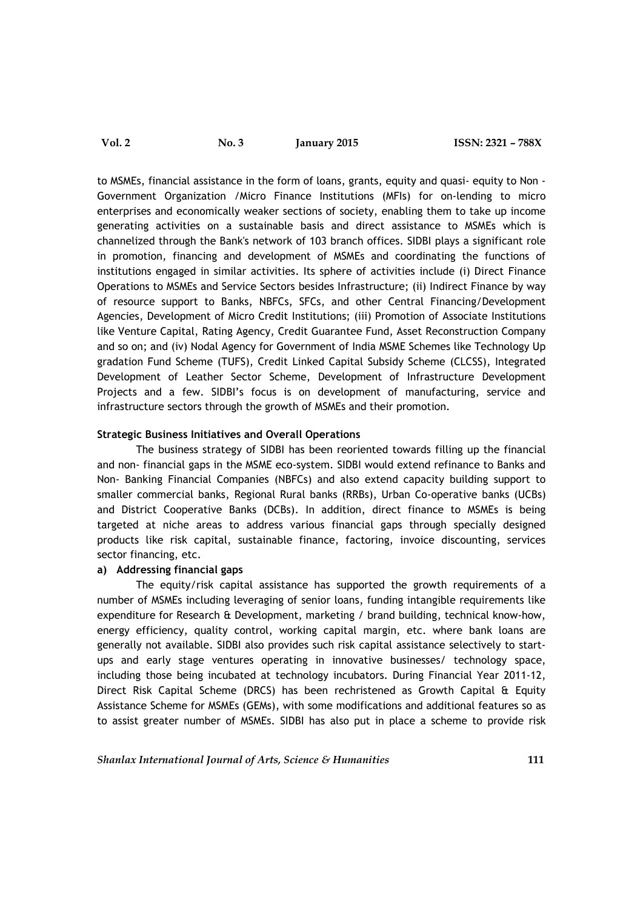to MSMEs, financial assistance in the form of loans, grants, equity and quasi- equity to Non - Government Organization /Micro Finance Institutions (MFIs) for on-lending to micro enterprises and economically weaker sections of society, enabling them to take up income generating activities on a sustainable basis and direct assistance to MSMEs which is channelized through the Bank's network of 103 branch offices. SIDBI plays a significant role in promotion, financing and development of MSMEs and coordinating the functions of institutions engaged in similar activities. Its sphere of activities include (i) Direct Finance Operations to MSMEs and Service Sectors besides Infrastructure; (ii) Indirect Finance by way of resource support to Banks, NBFCs, SFCs, and other Central Financing/Development Agencies, Development of Micro Credit Institutions; (iii) Promotion of Associate Institutions like Venture Capital, Rating Agency, Credit Guarantee Fund, Asset Reconstruction Company and so on; and (iv) Nodal Agency for Government of India MSME Schemes like Technology Up gradation Fund Scheme (TUFS), Credit Linked Capital Subsidy Scheme (CLCSS), Integrated Development of Leather Sector Scheme, Development of Infrastructure Development Projects and a few. SIDBI's focus is on development of manufacturing, service and infrastructure sectors through the growth of MSMEs and their promotion.

# **Strategic Business Initiatives and Overall Operations**

The business strategy of SIDBI has been reoriented towards filling up the financial and non- financial gaps in the MSME eco-system. SIDBI would extend refinance to Banks and Non- Banking Financial Companies (NBFCs) and also extend capacity building support to smaller commercial banks, Regional Rural banks (RRBs), Urban Co-operative banks (UCBs) and District Cooperative Banks (DCBs). In addition, direct finance to MSMEs is being targeted at niche areas to address various financial gaps through specially designed products like risk capital, sustainable finance, factoring, invoice discounting, services sector financing, etc.

### **a) Addressing financial gaps**

The equity/risk capital assistance has supported the growth requirements of a number of MSMEs including leveraging of senior loans, funding intangible requirements like expenditure for Research & Development, marketing / brand building, technical know-how, energy efficiency, quality control, working capital margin, etc. where bank loans are generally not available. SIDBI also provides such risk capital assistance selectively to startups and early stage ventures operating in innovative businesses/ technology space, including those being incubated at technology incubators. During Financial Year 2011-12, Direct Risk Capital Scheme (DRCS) has been rechristened as Growth Capital & Equity Assistance Scheme for MSMEs (GEMs), with some modifications and additional features so as to assist greater number of MSMEs. SIDBI has also put in place a scheme to provide risk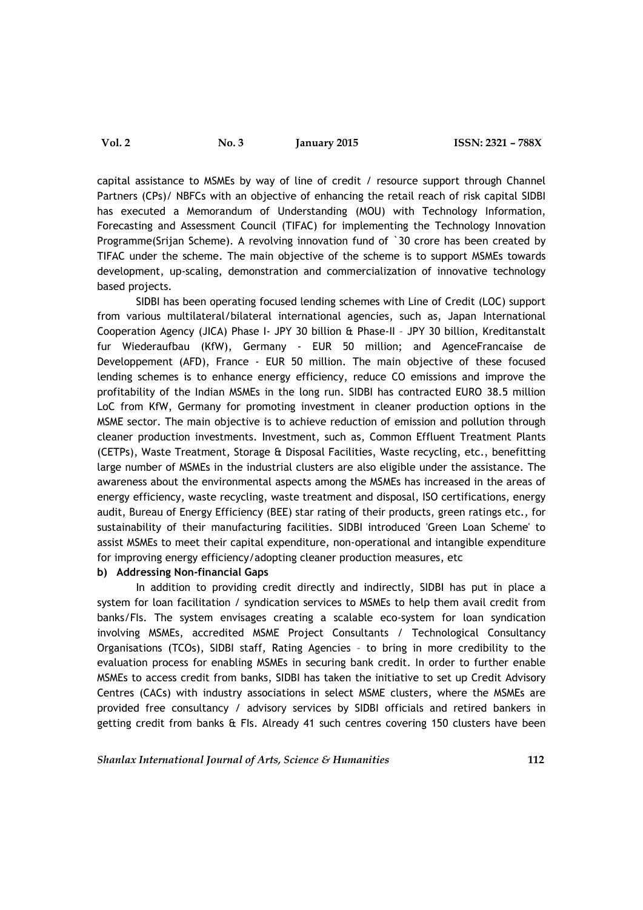capital assistance to MSMEs by way of line of credit / resource support through Channel Partners (CPs)/ NBFCs with an objective of enhancing the retail reach of risk capital SIDBI has executed a Memorandum of Understanding (MOU) with Technology Information, Forecasting and Assessment Council (TIFAC) for implementing the Technology Innovation Programme(Srijan Scheme). A revolving innovation fund of `30 crore has been created by TIFAC under the scheme. The main objective of the scheme is to support MSMEs towards development, up-scaling, demonstration and commercialization of innovative technology based projects.

SIDBI has been operating focused lending schemes with Line of Credit (LOC) support from various multilateral/bilateral international agencies, such as, Japan International Cooperation Agency (JICA) Phase I- JPY 30 billion & Phase-II – JPY 30 billion, Kreditanstalt fur Wiederaufbau (KfW), Germany - EUR 50 million; and AgenceFrancaise de Developpement (AFD), France - EUR 50 million. The main objective of these focused lending schemes is to enhance energy efficiency, reduce CO emissions and improve the profitability of the Indian MSMEs in the long run. SIDBI has contracted EURO 38.5 million LoC from KfW, Germany for promoting investment in cleaner production options in the MSME sector. The main objective is to achieve reduction of emission and pollution through cleaner production investments. Investment, such as, Common Effluent Treatment Plants (CETPs), Waste Treatment, Storage & Disposal Facilities, Waste recycling, etc., benefitting large number of MSMEs in the industrial clusters are also eligible under the assistance. The awareness about the environmental aspects among the MSMEs has increased in the areas of energy efficiency, waste recycling, waste treatment and disposal, ISO certifications, energy audit, Bureau of Energy Efficiency (BEE) star rating of their products, green ratings etc., for sustainability of their manufacturing facilities. SIDBI introduced 'Green Loan Scheme' to assist MSMEs to meet their capital expenditure, non-operational and intangible expenditure for improving energy efficiency/adopting cleaner production measures, etc

# **b) Addressing Non-financial Gaps**

In addition to providing credit directly and indirectly, SIDBI has put in place a system for loan facilitation / syndication services to MSMEs to help them avail credit from banks/FIs. The system envisages creating a scalable eco-system for loan syndication involving MSMEs, accredited MSME Project Consultants / Technological Consultancy Organisations (TCOs), SIDBI staff, Rating Agencies – to bring in more credibility to the evaluation process for enabling MSMEs in securing bank credit. In order to further enable MSMEs to access credit from banks, SIDBI has taken the initiative to set up Credit Advisory Centres (CACs) with industry associations in select MSME clusters, where the MSMEs are provided free consultancy / advisory services by SIDBI officials and retired bankers in getting credit from banks & FIs. Already 41 such centres covering 150 clusters have been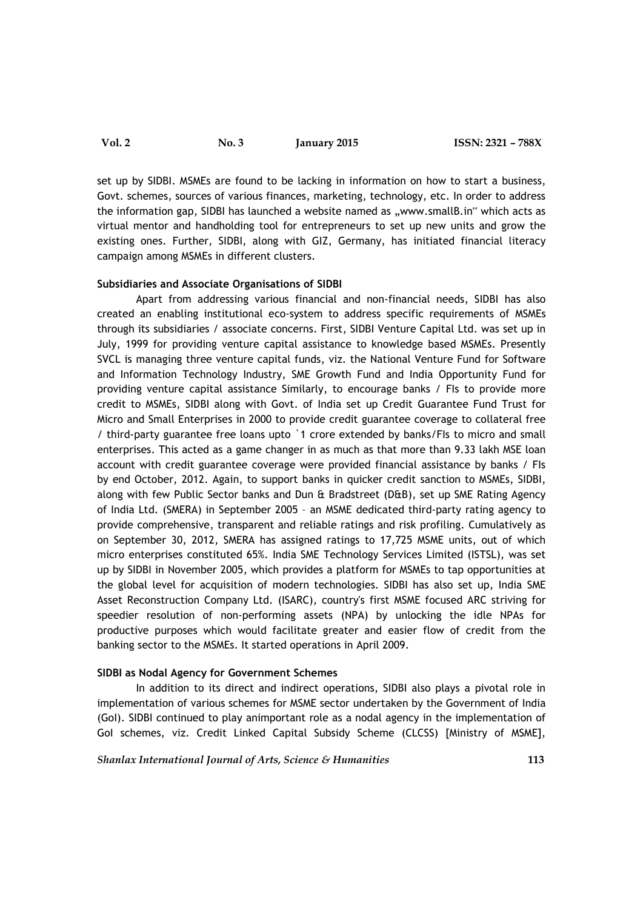# **Vol. 2 No. 3 January 2015 ISSN: 2321 – 788X**

set up by SIDBI. MSMEs are found to be lacking in information on how to start a business, Govt. schemes, sources of various finances, marketing, technology, etc. In order to address the information gap, SIDBI has launched a website named as "www.smallB.in" which acts as virtual mentor and handholding tool for entrepreneurs to set up new units and grow the existing ones. Further, SIDBI, along with GIZ, Germany, has initiated financial literacy campaign among MSMEs in different clusters.

#### **Subsidiaries and Associate Organisations of SIDBI**

Apart from addressing various financial and non-financial needs, SIDBI has also created an enabling institutional eco-system to address specific requirements of MSMEs through its subsidiaries / associate concerns. First, SIDBI Venture Capital Ltd. was set up in July, 1999 for providing venture capital assistance to knowledge based MSMEs. Presently SVCL is managing three venture capital funds, viz. the National Venture Fund for Software and Information Technology Industry, SME Growth Fund and India Opportunity Fund for providing venture capital assistance Similarly, to encourage banks / FIs to provide more credit to MSMEs, SIDBI along with Govt. of India set up Credit Guarantee Fund Trust for Micro and Small Enterprises in 2000 to provide credit guarantee coverage to collateral free / third-party guarantee free loans upto `1 crore extended by banks/FIs to micro and small enterprises. This acted as a game changer in as much as that more than 9.33 lakh MSE loan account with credit guarantee coverage were provided financial assistance by banks / FIs by end October, 2012. Again, to support banks in quicker credit sanction to MSMEs, SIDBI, along with few Public Sector banks and Dun & Bradstreet (D&B), set up SME Rating Agency of India Ltd. (SMERA) in September 2005 – an MSME dedicated third-party rating agency to provide comprehensive, transparent and reliable ratings and risk profiling. Cumulatively as on September 30, 2012, SMERA has assigned ratings to 17,725 MSME units, out of which micro enterprises constituted 65%. India SME Technology Services Limited (ISTSL), was set up by SIDBI in November 2005, which provides a platform for MSMEs to tap opportunities at the global level for acquisition of modern technologies. SIDBI has also set up, India SME Asset Reconstruction Company Ltd. (ISARC), country's first MSME focused ARC striving for speedier resolution of non-performing assets (NPA) by unlocking the idle NPAs for productive purposes which would facilitate greater and easier flow of credit from the banking sector to the MSMEs. It started operations in April 2009.

#### **SIDBI as Nodal Agency for Government Schemes**

In addition to its direct and indirect operations, SIDBI also plays a pivotal role in implementation of various schemes for MSME sector undertaken by the Government of India (GoI). SIDBI continued to play animportant role as a nodal agency in the implementation of GoI schemes, viz. Credit Linked Capital Subsidy Scheme (CLCSS) [Ministry of MSME],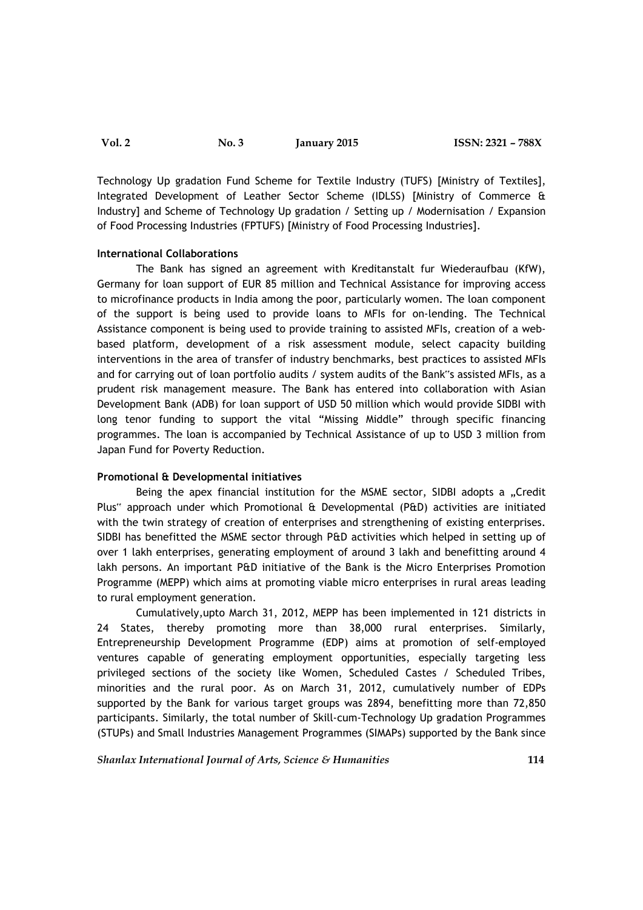Technology Up gradation Fund Scheme for Textile Industry (TUFS) [Ministry of Textiles], Integrated Development of Leather Sector Scheme (IDLSS) [Ministry of Commerce & Industry] and Scheme of Technology Up gradation / Setting up / Modernisation / Expansion of Food Processing Industries (FPTUFS) [Ministry of Food Processing Industries].

### **International Collaborations**

The Bank has signed an agreement with Kreditanstalt fur Wiederaufbau (KfW), Germany for loan support of EUR 85 million and Technical Assistance for improving access to microfinance products in India among the poor, particularly women. The loan component of the support is being used to provide loans to MFIs for on-lending. The Technical Assistance component is being used to provide training to assisted MFIs, creation of a webbased platform, development of a risk assessment module, select capacity building interventions in the area of transfer of industry benchmarks, best practices to assisted MFIs and for carrying out of loan portfolio audits / system audits of the Bank"s assisted MFIs, as a prudent risk management measure. The Bank has entered into collaboration with Asian Development Bank (ADB) for loan support of USD 50 million which would provide SIDBI with long tenor funding to support the vital "Missing Middle" through specific financing programmes. The loan is accompanied by Technical Assistance of up to USD 3 million from Japan Fund for Poverty Reduction.

#### **Promotional & Developmental initiatives**

Being the apex financial institution for the MSME sector, SIDBI adopts a "Credit Plus" approach under which Promotional & Developmental (P&D) activities are initiated with the twin strategy of creation of enterprises and strengthening of existing enterprises. SIDBI has benefitted the MSME sector through P&D activities which helped in setting up of over 1 lakh enterprises, generating employment of around 3 lakh and benefitting around 4 lakh persons. An important P&D initiative of the Bank is the Micro Enterprises Promotion Programme (MEPP) which aims at promoting viable micro enterprises in rural areas leading to rural employment generation.

Cumulatively,upto March 31, 2012, MEPP has been implemented in 121 districts in 24 States, thereby promoting more than 38,000 rural enterprises. Similarly, Entrepreneurship Development Programme (EDP) aims at promotion of self-employed ventures capable of generating employment opportunities, especially targeting less privileged sections of the society like Women, Scheduled Castes / Scheduled Tribes, minorities and the rural poor. As on March 31, 2012, cumulatively number of EDPs supported by the Bank for various target groups was 2894, benefitting more than 72,850 participants. Similarly, the total number of Skill-cum-Technology Up gradation Programmes (STUPs) and Small Industries Management Programmes (SIMAPs) supported by the Bank since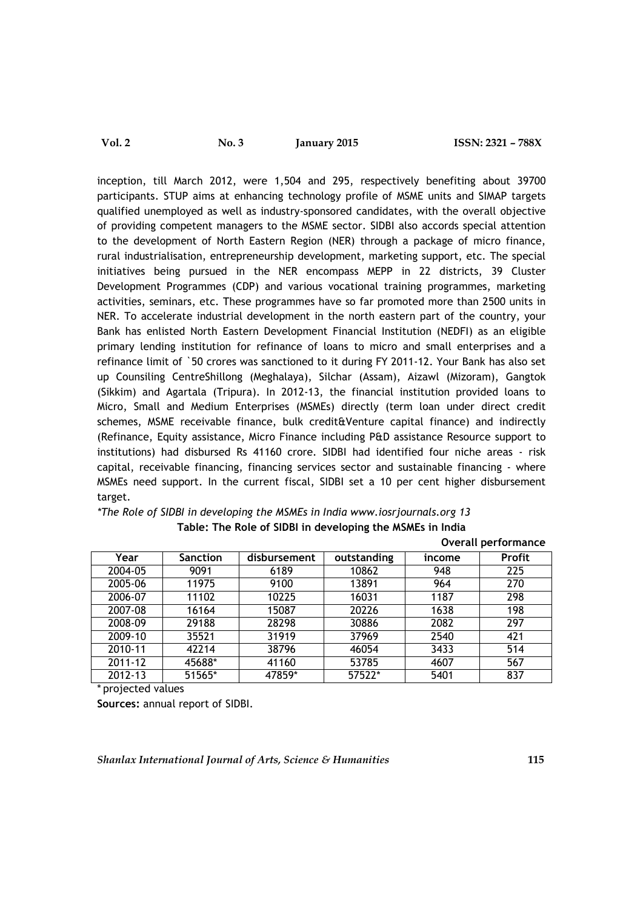inception, till March 2012, were 1,504 and 295, respectively benefiting about 39700 participants. STUP aims at enhancing technology profile of MSME units and SIMAP targets qualified unemployed as well as industry-sponsored candidates, with the overall objective of providing competent managers to the MSME sector. SIDBI also accords special attention to the development of North Eastern Region (NER) through a package of micro finance, rural industrialisation, entrepreneurship development, marketing support, etc. The special initiatives being pursued in the NER encompass MEPP in 22 districts, 39 Cluster Development Programmes (CDP) and various vocational training programmes, marketing activities, seminars, etc. These programmes have so far promoted more than 2500 units in NER. To accelerate industrial development in the north eastern part of the country, your Bank has enlisted North Eastern Development Financial Institution (NEDFI) as an eligible primary lending institution for refinance of loans to micro and small enterprises and a refinance limit of `50 crores was sanctioned to it during FY 2011-12. Your Bank has also set up Counsiling CentreShillong (Meghalaya), Silchar (Assam), Aizawl (Mizoram), Gangtok (Sikkim) and Agartala (Tripura). In 2012-13, the financial institution provided loans to Micro, Small and Medium Enterprises (MSMEs) directly (term loan under direct credit schemes, MSME receivable finance, bulk credit&Venture capital finance) and indirectly (Refinance, Equity assistance, Micro Finance including P&D assistance Resource support to institutions) had disbursed Rs 41160 crore. SIDBI had identified four niche areas - risk capital, receivable financing, financing services sector and sustainable financing - where MSMEs need support. In the current fiscal, SIDBI set a 10 per cent higher disbursement target.

| *The Role of SIDBI in developing the MSMEs in India www.iosrjournals.org 13 |
|-----------------------------------------------------------------------------|
| Table: The Role of SIDBI in developing the MSMEs in India                   |
| Overall performance                                                         |

| Year        | <b>Sanction</b> | disbursement | outstanding | income | <b>Profit</b> |
|-------------|-----------------|--------------|-------------|--------|---------------|
| 2004-05     | 9091            | 6189         | 10862       | 948    | 225           |
| 2005-06     | 11975           | 9100         | 13891       | 964    | 270           |
| 2006-07     | 11102           | 10225        | 16031       | 1187   | 298           |
| 2007-08     | 16164           | 15087        | 20226       | 1638   | 198           |
| 2008-09     | 29188           | 28298        | 30886       | 2082   | 297           |
| 2009-10     | 35521           | 31919        | 37969       | 2540   | 421           |
| 2010-11     | 42214           | 38796        | 46054       | 3433   | 514           |
| $2011 - 12$ | 45688*          | 41160        | 53785       | 4607   | 567           |
| 2012-13     | 51565*          | 47859*       | 57522*      | 5401   | 837           |

\* projected values

**Sources:** annual report of SIDBI.